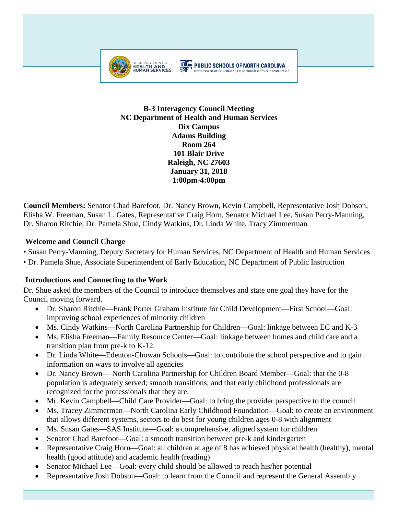

#### **THE PUBLIC SCHOOLS OF NORTH CAROLINA** State Board of Education | Department of Public Instruction

**B-3 Interagency Council Meeting NC Department of Health and Human Services Dix Campus Adams Building Room 264 101 Blair Drive Raleigh, NC 27603 January 31, 2018 1:00pm-4:00pm**

**Council Members:** Senator Chad Barefoot, Dr. Nancy Brown, Kevin Campbell, Representative Josh Dobson, Elisha W. Freeman, Susan L. Gates, Representative Craig Horn, Senator Michael Lee, Susan Perry-Manning, Dr. Sharon Ritchie, Dr. Pamela Shue, Cindy Watkins, Dr. Linda White, Tracy Zimmerman

### **Welcome and Council Charge**

• Susan Perry-Manning, Deputy Secretary for Human Services, NC Department of Health and Human Services

• Dr. Pamela Shue, Associate Superintendent of Early Education, NC Department of Public Instruction

### **Introductions and Connecting to the Work**

Dr. Shue asked the members of the Council to introduce themselves and state one goal they have for the Council moving forward.

- Dr. Sharon Ritchie—Frank Porter Graham Institute for Child Development—First School—Goal: improving school experiences of minority children
- Ms. Cindy Watkins—North Carolina Partnership for Children—Goal: linkage between EC and K-3
- Ms. Elisha Freeman—Family Resource Center—Goal: linkage between homes and child care and a transition plan from pre-k to K-12.
- Dr. Linda White—Edenton-Chowan Schools—Goal: to contribute the school perspective and to gain information on ways to involve all agencies
- Dr. Nancy Brown— North Carolina Partnership for Children Board Member—Goal: that the 0-8 population is adequately served; smooth transitions; and that early childhood professionals are recognized for the professionals that they are.
- Mr. Kevin Campbell—Child Care Provider—Goal: to bring the provider perspective to the council
- Ms. Tracey Zimmerman—North Carolina Early Childhood Foundation—Goal: to create an environment that allows different systems, sectors to do best for young children ages 0-8 with alignment
- Ms. Susan Gates—SAS Institute—Goal: a comprehensive, aligned system for children
- Senator Chad Barefoot—Goal: a smooth transition between pre-k and kindergarten
- Representative Craig Horn—Goal: all children at age of 8 has achieved physical health (healthy), mental health (good attitude) and academic health (reading)
- Senator Michael Lee—Goal: every child should be allowed to reach his/her potential
- Representative Josh Dobson—Goal: to learn from the Council and represent the General Assembly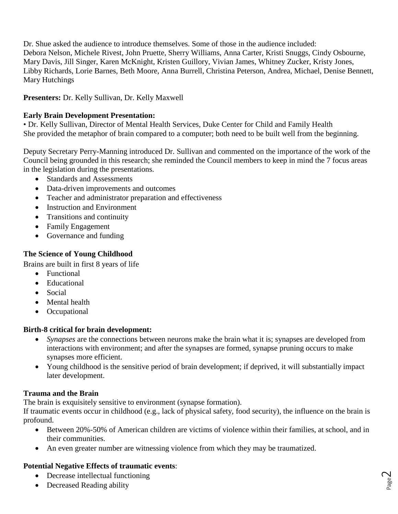Dr. Shue asked the audience to introduce themselves. Some of those in the audience included: Debora Nelson, Michele Rivest, John Pruette, Sherry Williams, Anna Carter, Kristi Snuggs, Cindy Osbourne, Mary Davis, Jill Singer, Karen McKnight, Kristen Guillory, Vivian James, Whitney Zucker, Kristy Jones, Libby Richards, Lorie Barnes, Beth Moore, Anna Burrell, Christina Peterson, Andrea, Michael, Denise Bennett, Mary Hutchings

**Presenters:** Dr. Kelly Sullivan, Dr. Kelly Maxwell

### **Early Brain Development Presentation:**

• Dr. Kelly Sullivan, Director of Mental Health Services, Duke Center for Child and Family Health She provided the metaphor of brain compared to a computer; both need to be built well from the beginning.

Deputy Secretary Perry-Manning introduced Dr. Sullivan and commented on the importance of the work of the Council being grounded in this research; she reminded the Council members to keep in mind the 7 focus areas in the legislation during the presentations.

- Standards and Assessments
- Data-driven improvements and outcomes
- Teacher and administrator preparation and effectiveness
- Instruction and Environment
- Transitions and continuity
- Family Engagement
- Governance and funding

### **The Science of Young Childhood**

Brains are built in first 8 years of life

- Functional
- Educational
- Social
- Mental health
- Occupational

### **Birth-8 critical for brain development:**

- *Synapses* are the connections between neurons make the brain what it is; synapses are developed from interactions with environment; and after the synapses are formed, synapse pruning occurs to make synapses more efficient.
- Young childhood is the sensitive period of brain development; if deprived, it will substantially impact later development.

# **Trauma and the Brain**

The brain is exquisitely sensitive to environment (synapse formation).

If traumatic events occur in childhood (e.g., lack of physical safety, food security), the influence on the brain is profound.

- Between 20%-50% of American children are victims of violence within their families, at school, and in their communities.
- An even greater number are witnessing violence from which they may be traumatized.

# **Potential Negative Effects of traumatic events**:

- Decrease intellectual functioning
- Decreased Reading ability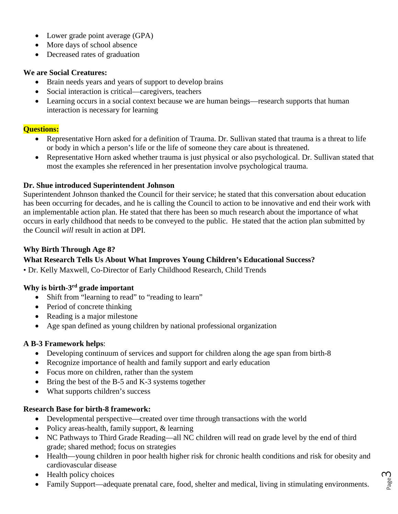- Lower grade point average (GPA)
- More days of school absence
- Decreased rates of graduation

### **We are Social Creatures:**

- Brain needs years and years of support to develop brains
- Social interaction is critical—caregivers, teachers
- Learning occurs in a social context because we are human beings—research supports that human interaction is necessary for learning

### **Questions:**

- Representative Horn asked for a definition of Trauma. Dr. Sullivan stated that trauma is a threat to life or body in which a person's life or the life of someone they care about is threatened.
- Representative Horn asked whether trauma is just physical or also psychological. Dr. Sullivan stated that most the examples she referenced in her presentation involve psychological trauma.

### **Dr. Shue introduced Superintendent Johnson**

Superintendent Johnson thanked the Council for their service; he stated that this conversation about education has been occurring for decades, and he is calling the Council to action to be innovative and end their work with an implementable action plan. He stated that there has been so much research about the importance of what occurs in early childhood that needs to be conveyed to the public. He stated that the action plan submitted by the Council *will* result in action at DPI.

### **Why Birth Through Age 8?**

### **What Research Tells Us About What Improves Young Children's Educational Success?**

• Dr. Kelly Maxwell, Co-Director of Early Childhood Research, Child Trends

### **Why is birth-3rd grade important**

- Shift from "learning to read" to "reading to learn"
- Period of concrete thinking
- Reading is a major milestone
- Age span defined as young children by national professional organization

### **A B-3 Framework helps**:

- Developing continuum of services and support for children along the age span from birth-8
- Recognize importance of health and family support and early education
- Focus more on children, rather than the system
- Bring the best of the B-5 and K-3 systems together
- What supports children's success

### **Research Base for birth-8 framework:**

- Developmental perspective—created over time through transactions with the world
- Policy areas-health, family support, & learning
- NC Pathways to Third Grade Reading—all NC children will read on grade level by the end of third grade; shared method; focus on strategies
- Health—young children in poor health higher risk for chronic health conditions and risk for obesity and cardiovascular disease
- Health policy choices
- Family Support—adequate prenatal care, food, shelter and medical, living in stimulating environments.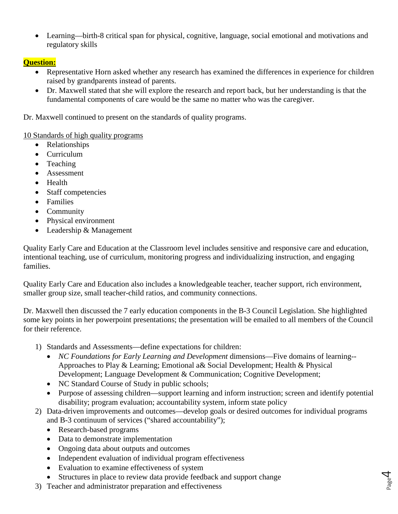• Learning—birth-8 critical span for physical, cognitive, language, social emotional and motivations and regulatory skills

# **Question:**

- Representative Horn asked whether any research has examined the differences in experience for children raised by grandparents instead of parents.
- Dr. Maxwell stated that she will explore the research and report back, but her understanding is that the fundamental components of care would be the same no matter who was the caregiver.

Dr. Maxwell continued to present on the standards of quality programs.

10 Standards of high quality programs

- Relationships
- Curriculum
- Teaching
- Assessment
- Health
- Staff competencies
- Families
- Community
- Physical environment
- Leadership & Management

Quality Early Care and Education at the Classroom level includes sensitive and responsive care and education, intentional teaching, use of curriculum, monitoring progress and individualizing instruction, and engaging families.

Quality Early Care and Education also includes a knowledgeable teacher, teacher support, rich environment, smaller group size, small teacher-child ratios, and community connections.

Dr. Maxwell then discussed the 7 early education components in the B-3 Council Legislation. She highlighted some key points in her powerpoint presentations; the presentation will be emailed to all members of the Council for their reference.

- 1) Standards and Assessments—define expectations for children:
	- *NC Foundations for Early Learning and Development dimensions—Five domains of learning--*Approaches to Play & Learning; Emotional a& Social Development; Health & Physical Development; Language Development & Communication; Cognitive Development;
	- NC Standard Course of Study in public schools;
	- Purpose of assessing children—support learning and inform instruction; screen and identify potential disability; program evaluation; accountability system, inform state policy

Page  $\overline{\mathcal{A}}$ 

- 2) Data-driven improvements and outcomes—develop goals or desired outcomes for individual programs and B-3 continuum of services ("shared accountability");
	- Research-based programs
	- Data to demonstrate implementation
	- Ongoing data about outputs and outcomes
	- Independent evaluation of individual program effectiveness
	- Evaluation to examine effectiveness of system
	- Structures in place to review data provide feedback and support change
- 3) Teacher and administrator preparation and effectiveness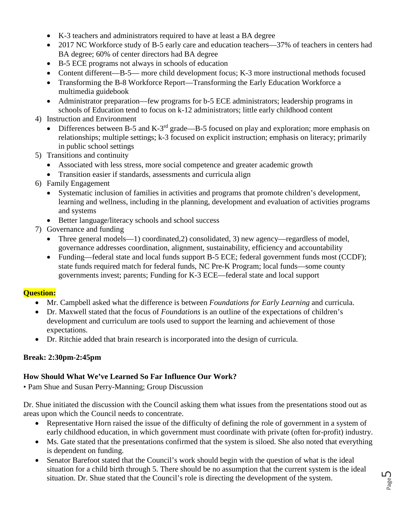- K-3 teachers and administrators required to have at least a BA degree
- 2017 NC Workforce study of B-5 early care and education teachers—37% of teachers in centers had BA degree; 60% of center directors had BA degree
- B-5 ECE programs not always in schools of education
- Content different—B-5— more child development focus; K-3 more instructional methods focused
- Transforming the B-8 Workforce Report—Transforming the Early Education Workforce a multimedia guidebook
- Administrator preparation—few programs for b-5 ECE administrators; leadership programs in schools of Education tend to focus on k-12 administrators; little early childhood content
- 4) Instruction and Environment
	- Differences between B-5 and K-3rd grade—B-5 focused on play and exploration; more emphasis on relationships; multiple settings; k-3 focused on explicit instruction; emphasis on literacy; primarily in public school settings
- 5) Transitions and continuity
	- Associated with less stress, more social competence and greater academic growth
	- Transition easier if standards, assessments and curricula align
- 6) Family Engagement
	- Systematic inclusion of families in activities and programs that promote children's development, learning and wellness, including in the planning, development and evaluation of activities programs and systems
	- Better language/literacy schools and school success
- 7) Governance and funding
	- Three general models—1) coordinated, 2) consolidated, 3) new agency—regardless of model, governance addresses coordination, alignment, sustainability, efficiency and accountability
	- Funding—federal state and local funds support B-5 ECE; federal government funds most (CCDF); state funds required match for federal funds, NC Pre-K Program; local funds—some county governments invest; parents; Funding for K-3 ECE—federal state and local support

### **Question:**

- Mr. Campbell asked what the difference is between *Foundations for Early Learning* and curricula.
- Dr. Maxwell stated that the focus of *Foundations* is an outline of the expectations of children's development and curriculum are tools used to support the learning and achievement of those expectations.
- Dr. Ritchie added that brain research is incorporated into the design of curricula.

# **Break: 2:30pm-2:45pm**

# **How Should What We've Learned So Far Influence Our Work?**

• Pam Shue and Susan Perry-Manning; Group Discussion

Dr. Shue initiated the discussion with the Council asking them what issues from the presentations stood out as areas upon which the Council needs to concentrate.

- Representative Horn raised the issue of the difficulty of defining the role of government in a system of early childhood education, in which government must coordinate with private (often for-profit) industry.
- Ms. Gate stated that the presentations confirmed that the system is siloed. She also noted that everything is dependent on funding.
- Senator Barefoot stated that the Council's work should begin with the question of what is the ideal situation for a child birth through 5. There should be no assumption that the current system is the ideal situation. Dr. Shue stated that the Council's role is directing the development of the system.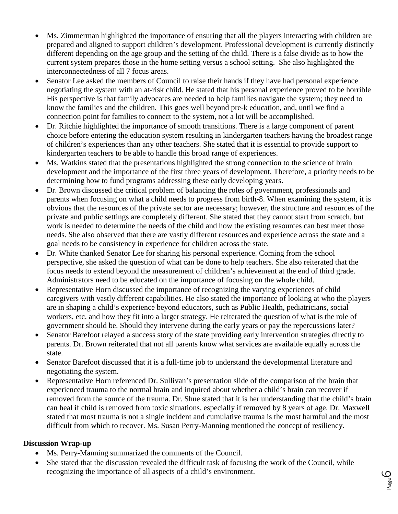- Ms. Zimmerman highlighted the importance of ensuring that all the players interacting with children are prepared and aligned to support children's development. Professional development is currently distinctly different depending on the age group and the setting of the child. There is a false divide as to how the current system prepares those in the home setting versus a school setting. She also highlighted the interconnectedness of all 7 focus areas.
- Senator Lee asked the members of Council to raise their hands if they have had personal experience negotiating the system with an at-risk child. He stated that his personal experience proved to be horrible His perspective is that family advocates are needed to help families navigate the system; they need to know the families and the children. This goes well beyond pre-k education, and, until we find a connection point for families to connect to the system, not a lot will be accomplished.
- Dr. Ritchie highlighted the importance of smooth transitions. There is a large component of parent choice before entering the education system resulting in kindergarten teachers having the broadest range of children's experiences than any other teachers. She stated that it is essential to provide support to kindergarten teachers to be able to handle this broad range of experiences.
- Ms. Watkins stated that the presentations highlighted the strong connection to the science of brain development and the importance of the first three years of development. Therefore, a priority needs to be determining how to fund programs addressing these early developing years.
- Dr. Brown discussed the critical problem of balancing the roles of government, professionals and parents when focusing on what a child needs to progress from birth-8. When examining the system, it is obvious that the resources of the private sector are necessary; however, the structure and resources of the private and public settings are completely different. She stated that they cannot start from scratch, but work is needed to determine the needs of the child and how the existing resources can best meet those needs. She also observed that there are vastly different resources and experience across the state and a goal needs to be consistency in experience for children across the state.
- Dr. White thanked Senator Lee for sharing his personal experience. Coming from the school perspective, she asked the question of what can be done to help teachers. She also reiterated that the focus needs to extend beyond the measurement of children's achievement at the end of third grade. Administrators need to be educated on the importance of focusing on the whole child.
- Representative Horn discussed the importance of recognizing the varying experiences of child caregivers with vastly different capabilities. He also stated the importance of looking at who the players are in shaping a child's experience beyond educators, such as Public Health, pediatricians, social workers, etc. and how they fit into a larger strategy. He reiterated the question of what is the role of government should be. Should they intervene during the early years or pay the repercussions later?
- Senator Barefoot relayed a success story of the state providing early intervention strategies directly to parents. Dr. Brown reiterated that not all parents know what services are available equally across the state.
- Senator Barefoot discussed that it is a full-time job to understand the developmental literature and negotiating the system.
- Representative Horn referenced Dr. Sullivan's presentation slide of the comparison of the brain that experienced trauma to the normal brain and inquired about whether a child's brain can recover if removed from the source of the trauma. Dr. Shue stated that it is her understanding that the child's brain can heal if child is removed from toxic situations, especially if removed by 8 years of age. Dr. Maxwell stated that most trauma is not a single incident and cumulative trauma is the most harmful and the most difficult from which to recover. Ms. Susan Perry-Manning mentioned the concept of resiliency.

### **Discussion Wrap-up**

- Ms. Perry-Manning summarized the comments of the Council.
- She stated that the discussion revealed the difficult task of focusing the work of the Council, while recognizing the importance of all aspects of a child's environment.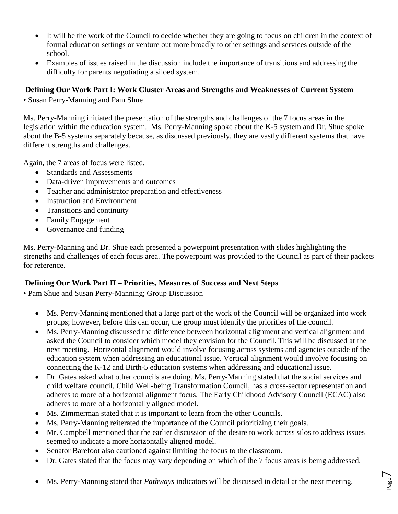- It will be the work of the Council to decide whether they are going to focus on children in the context of formal education settings or venture out more broadly to other settings and services outside of the school.
- Examples of issues raised in the discussion include the importance of transitions and addressing the difficulty for parents negotiating a siloed system.

# **Defining Our Work Part I: Work Cluster Areas and Strengths and Weaknesses of Current System**

• Susan Perry-Manning and Pam Shue

Ms. Perry-Manning initiated the presentation of the strengths and challenges of the 7 focus areas in the legislation within the education system. Ms. Perry-Manning spoke about the K-5 system and Dr. Shue spoke about the B-5 systems separately because, as discussed previously, they are vastly different systems that have different strengths and challenges.

Again, the 7 areas of focus were listed.

- Standards and Assessments
- Data-driven improvements and outcomes
- Teacher and administrator preparation and effectiveness
- Instruction and Environment
- Transitions and continuity
- Family Engagement
- Governance and funding

Ms. Perry-Manning and Dr. Shue each presented a powerpoint presentation with slides highlighting the strengths and challenges of each focus area. The powerpoint was provided to the Council as part of their packets for reference.

# **Defining Our Work Part II – Priorities, Measures of Success and Next Steps**

• Pam Shue and Susan Perry-Manning; Group Discussion

- Ms. Perry-Manning mentioned that a large part of the work of the Council will be organized into work groups; however, before this can occur, the group must identify the priorities of the council.
- Ms. Perry-Manning discussed the difference between horizontal alignment and vertical alignment and asked the Council to consider which model they envision for the Council. This will be discussed at the next meeting. Horizontal alignment would involve focusing across systems and agencies outside of the education system when addressing an educational issue. Vertical alignment would involve focusing on connecting the K-12 and Birth-5 education systems when addressing and educational issue.
- Dr. Gates asked what other councils are doing. Ms. Perry-Manning stated that the social services and child welfare council, Child Well-being Transformation Council, has a cross-sector representation and adheres to more of a horizontal alignment focus. The Early Childhood Advisory Council (ECAC) also adheres to more of a horizontally aligned model.
- Ms. Zimmerman stated that it is important to learn from the other Councils.
- Ms. Perry-Manning reiterated the importance of the Council prioritizing their goals.
- Mr. Campbell mentioned that the earlier discussion of the desire to work across silos to address issues seemed to indicate a more horizontally aligned model.
- Senator Barefoot also cautioned against limiting the focus to the classroom.
- Dr. Gates stated that the focus may vary depending on which of the 7 focus areas is being addressed.
- Ms. Perry-Manning stated that *Pathways* indicators will be discussed in detail at the next meeting.